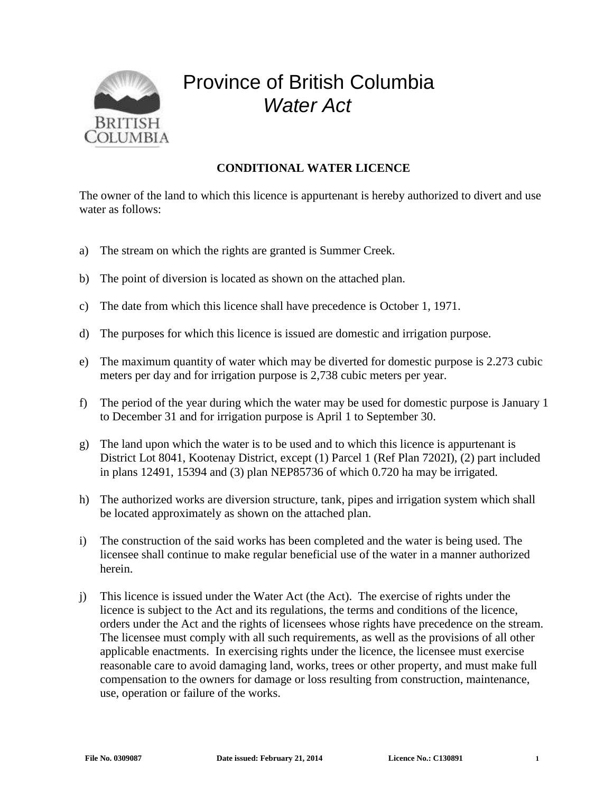

## Province of British Columbia *Water Act*

## **CONDITIONAL WATER LICENCE**

The owner of the land to which this licence is appurtenant is hereby authorized to divert and use water as follows:

- a) The stream on which the rights are granted is Summer Creek.
- b) The point of diversion is located as shown on the attached plan.
- c) The date from which this licence shall have precedence is October 1, 1971.
- d) The purposes for which this licence is issued are domestic and irrigation purpose.
- e) The maximum quantity of water which may be diverted for domestic purpose is 2.273 cubic meters per day and for irrigation purpose is 2,738 cubic meters per year.
- f) The period of the year during which the water may be used for domestic purpose is January 1 to December 31 and for irrigation purpose is April 1 to September 30.
- g) The land upon which the water is to be used and to which this licence is appurtenant is District Lot 8041, Kootenay District, except (1) Parcel 1 (Ref Plan 7202I), (2) part included in plans 12491, 15394 and (3) plan NEP85736 of which 0.720 ha may be irrigated.
- h) The authorized works are diversion structure, tank, pipes and irrigation system which shall be located approximately as shown on the attached plan.
- i) The construction of the said works has been completed and the water is being used. The licensee shall continue to make regular beneficial use of the water in a manner authorized herein.
- j) This licence is issued under the Water Act (the Act). The exercise of rights under the licence is subject to the Act and its regulations, the terms and conditions of the licence, orders under the Act and the rights of licensees whose rights have precedence on the stream. The licensee must comply with all such requirements, as well as the provisions of all other applicable enactments. In exercising rights under the licence, the licensee must exercise reasonable care to avoid damaging land, works, trees or other property, and must make full compensation to the owners for damage or loss resulting from construction, maintenance, use, operation or failure of the works.